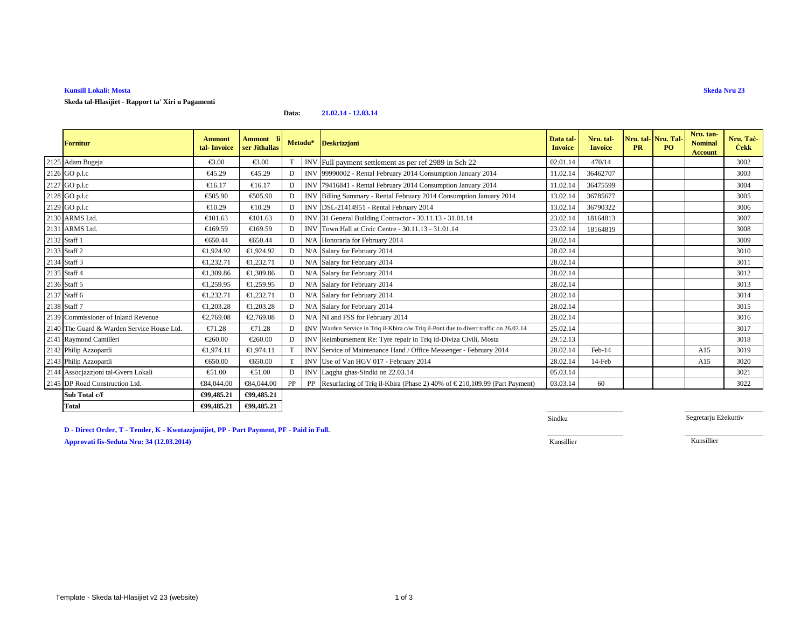# **Kunsill Lokali: Mosta**

**Skeda tal-Ħlasijiet - Rapport ta' Xiri u Pagamenti**

#### **Data:21.02.14 - 12.03.14**

| <b>Fornitur</b>                            | <b>Ammont</b><br>tal-Invoice | <b>Ammont</b><br>ser Jithallas |    | Metodu* | <b>Deskrizzjoni</b>                                                                    | Data tal-<br><b>Invoice</b> | Nru. tal-<br><b>Invoice</b> | Nru. tal-Nru. Tal<br><b>PR</b> | PO. | Nru. tan-<br><b>Nominal</b><br><b>Account</b> | Nru. Tač-<br><b>Cekk</b> |
|--------------------------------------------|------------------------------|--------------------------------|----|---------|----------------------------------------------------------------------------------------|-----------------------------|-----------------------------|--------------------------------|-----|-----------------------------------------------|--------------------------|
| 2125 Adam Bugeja                           | €3.00                        | €3.00                          |    |         | INVFull payment settlement as per ref 2989 in Sch 22                                   | 02.01.14                    | 470/14                      |                                |     |                                               | 3002                     |
| 2126 GO p.l.c                              | €45.29                       | €45.29                         | D  |         | INV 99990002 - Rental February 2014 Consumption January 2014                           | 11.02.14                    | 36462707                    |                                |     |                                               | 3003                     |
| 2127 GO p.l.c                              | €16.17                       | €16.17                         | D  |         | INV 79416841 - Rental February 2014 Consumption January 2014                           | 11.02.14                    | 36475599                    |                                |     |                                               | 3004                     |
| 2128 GO p.l.c                              | €505.90                      | €505.90                        | D  |         | INV Billing Summary - Rental February 2014 Consumption January 2014                    | 13.02.14                    | 36785677                    |                                |     |                                               | 3005                     |
| 2129 GO p.l.c                              | €10.29                       | €10.29                         | D  |         | INV DSL-21414951 - Rental February 2014                                                | 13.02.14                    | 36790322                    |                                |     |                                               | 3006                     |
| 2130 ARMS Ltd.                             | €101.63                      | €101.63                        | D  |         | INV 31 General Building Contractor - 30.11.13 - 3101.14                                | 23.02.14                    | 18164813                    |                                |     |                                               | 3007                     |
| 2131 ARMS Ltd.                             | €169.59                      | €169.59                        | D  |         | INV Town Hall at Civic Centre - 30.11.13 - 31.0114                                     | 23.02.14                    | 18164819                    |                                |     |                                               | 3008                     |
| 2132 Staff 1                               | €650.44                      | €650.44                        | D  |         | N/A Honoraria for February 2014                                                        | 28.02.14                    |                             |                                |     |                                               | 3009                     |
| 2133 Staff 2                               | €1,924.92                    | €1,924.92                      | D  |         | N/A Salary for February 2014                                                           | 28.02.14                    |                             |                                |     |                                               | 3010                     |
| 2134 Staff 3                               | €1,232.71                    | €1,232.71                      | D  |         | N/A Salary for February 2014                                                           | 28.02.14                    |                             |                                |     |                                               | 3011                     |
| 2135 Staff 4                               | €1,309.86                    | €1,309.86                      | D  |         | N/A Salary for February 2014                                                           | 28.02.14                    |                             |                                |     |                                               | 3012                     |
| 2136 Staff 5                               | €1,259.95                    | €1,259.95                      | D  |         | N/A Salary for February 2014                                                           | 28.02.14                    |                             |                                |     |                                               | 3013                     |
| 2137 Staff 6                               | €1,232.71                    | €1,232.71                      | D  |         | N/A Salary for February 2014                                                           | 28.02.14                    |                             |                                |     |                                               | 3014                     |
| 2138 Staff 7                               | €1,203.28                    | €1,203.28                      | D  |         | N/A Salary for February 2014                                                           | 28.02.14                    |                             |                                |     |                                               | 3015                     |
| 2139 Commissioner of Inland Revenue        | €2,769.08                    | €2,769.08                      | D  |         | N/A NI and FSS for Ebruary 2014                                                        | 28.02.14                    |                             |                                |     |                                               | 3016                     |
| 2140 The Guard & Warden Service House Ltd. | €71.28                       | €71.28                         | D  |         | INV Warden Service in Triq il-Kbira c/w Triq il-Pont due to divert traffic on 26.02.14 | 25.02.14                    |                             |                                |     |                                               | 3017                     |
| 2141 Raymond Camilleri                     | €260.00                      | €260.00                        | D  |         | INV Reimbursement Re: Tyre repairin Triq id-Diviza Civili, Mosta                       | 29.12.13                    |                             |                                |     |                                               | 3018                     |
| 2142 Philip Azzopardi                      | €1,974.11                    | €1,974.11                      |    |         | INV Service of Maintenance Hand Office Messenger - February 2014                       | 28.02.14                    | Feb-14                      |                                |     | A15                                           | 3019                     |
| 2143 Philip Azzopardi                      | €650.00                      | €650.00                        |    |         | INV Use of Van HGV 017 - February 2014                                                 | 28.02.14                    | 14-Feb                      |                                |     | A15                                           | 3020                     |
| 2144 Assocjazzjoni tal-Gvern Lokali        | €51.00                       | €51.00                         | D  |         | INV Laggha ghas-Sindkin 22.03.14                                                       | 05.03.14                    |                             |                                |     |                                               | 3021                     |
| 2145 DP Road Construction Ltd.             | €84,044.00                   | €84,044.00                     | PP | PP      | Resurfacing of Triq iKbira (Phase 2) 40% of € 210,109.99 (Part Payment)                | 03.03.14                    | 60                          |                                |     |                                               | 3022                     |
| Sub Total c/f                              | €99,485.21                   | €99,485.21                     |    |         |                                                                                        |                             |                             |                                |     |                                               |                          |
| <b>Total</b>                               | €99,485.21                   | €99,485.21                     |    |         |                                                                                        |                             |                             |                                |     |                                               |                          |

**D - Direct Order, T - Tender, K - Kwotazzjonijiet, PP - Part Payment, PF - Paid in Full.Approvati fis-Seduta Nru: 34 (12.03.2014)**Kunsillier Kunsillier

Sindku

Segretarju Eżekuttiv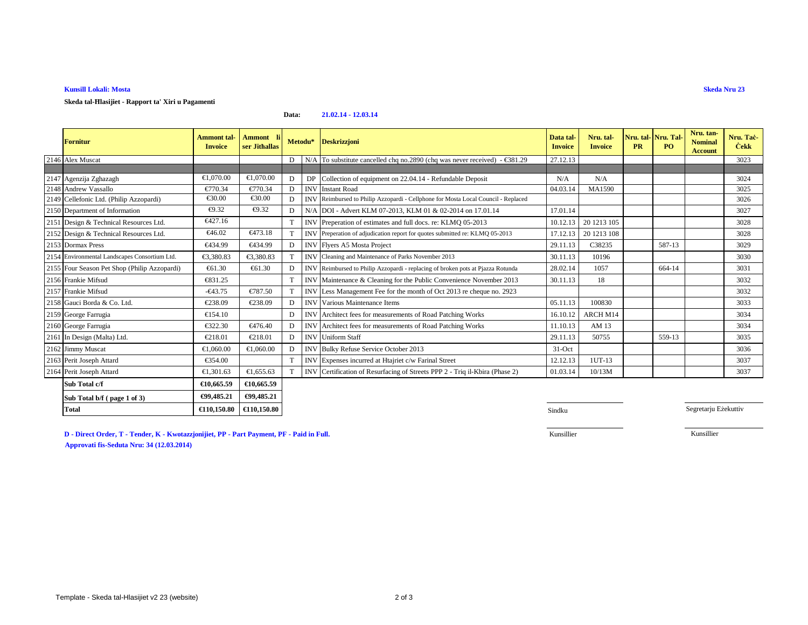# **Kunsill Lokali: Mosta**

**Skeda tal-Ħlasijiet - Rapport ta' Xiri u Pagamenti**

#### **Data:21.02.14 - 12.03.14**

| <b>Fornitur</b>                               | Ammont tal-<br><b>Invoice</b> | <b>Ammont</b><br>ser Jithallas |                | Metodu*    | <b>Deskrizzjoni</b>                                                                  | Data tal-<br><b>Invoice</b> | Nru. tal-<br><b>Invoice</b> | <b>PR</b> | Nru. tal- Nru. Tal-<br>PO. | Nru. tan-<br><b>Nominal</b><br><b>Account</b> | Nru. Tac-<br><b>Cekk</b> |
|-----------------------------------------------|-------------------------------|--------------------------------|----------------|------------|--------------------------------------------------------------------------------------|-----------------------------|-----------------------------|-----------|----------------------------|-----------------------------------------------|--------------------------|
| 2146 Alex Muscat                              |                               |                                | D              |            | N/A To substitute cancelled chq no.2890 (chq was never received) - $\epsilon$ 381.29 | 27.12.13                    |                             |           |                            |                                               | 3023                     |
| 2147 Agenzija Zghazagh                        | €1.070.00                     | €1,070.00                      | D              | DP         | Collection of equipment on 22.04.14 - Refundable Deposit                             | N/A                         | N/A                         |           |                            |                                               | 3024                     |
| 2148 Andrew Vassallo                          | €770.34                       | €770.34                        |                | <b>INV</b> | <b>Instant Road</b>                                                                  | 04.03.14                    | MA1590                      |           |                            |                                               | 3025                     |
| 2149 Cellefonic Ltd. (Philip Azzopardi)       | €30.00                        | $\epsilon$ 30.00               | D              | <b>INV</b> | Reimbursed to Philip Azzopardi - Cellphone for Mosta Local Council - Replaced        |                             |                             |           |                            |                                               | 3026                     |
| 2150 Department of Information                | €9.32                         | €9.32                          | D              |            | N/A DOI - Advert KLM 07-2013, KLM 01 & 02-2014 on 17.01.14                           | 17.01.14                    |                             |           |                            |                                               | 3027                     |
| 2151 Design & Technical Resources Ltd.        | €427.16                       |                                | T              | <b>INV</b> | Preperation of estimates and full docs. re: KLMQ 05-2013                             | 10.12.13                    | 20 12 13 105                |           |                            |                                               | 3028                     |
| 2152 Design & Technical Resources Ltd.        | €46.02                        | €473.18                        |                |            | INV Preperation of adjudication report for quotes submitted re: KLMQ 05-2013         | 17.12.13                    | 20 1213 108                 |           |                            |                                               | 3028                     |
| 2153 Dormax Press                             | €434.99                       | €434.99                        | $\mathbf{D}$   |            | INV Flyers A5 Mosta Project                                                          | 29.11.13                    | C38235                      |           | 587-13                     |                                               | 3029                     |
| 2154 Environmental Landscapes Consortium Ltd. | €3.380.83                     | €3.380.83                      |                |            | <b>INV</b> Cleaning and Maintenance of Parks November 2013                           | 30.11.13                    | 10196                       |           |                            |                                               | 3030                     |
| 2155 Four Season Pet Shop (Philip Azzopardi)  | €61.30                        | € $61.30$                      | D              |            | INV Reimbursed to Philip Azzopardi - replacing of broken pots at Pjazza Rotunda      | 28.02.14                    | 1057                        |           | 664-14                     |                                               | 3031                     |
| 2156 Frankie Mifsud                           | €831.25                       |                                | T.             |            | INV Maintenance & Cleaning for the Rublic Convenience November 2013                  | 30.11.13                    | 18                          |           |                            |                                               | 3032                     |
| 2157 Frankie Mifsud                           | $-643.75$                     | €787.50                        |                | <b>INV</b> | Less Management Fee for the mnth of Oct 2013 re cheque no. 2923                      |                             |                             |           |                            |                                               | 3032                     |
| 2158 Gauci Borda & Co. Ltd.                   | €238.09                       | €238.09                        | D              | <b>INV</b> | Various Maintenance Item                                                             | 05.11.13                    | 100830                      |           |                            |                                               | 3033                     |
| 2159 George Farrugia                          | €154.10                       |                                | D              |            | INV Architect fees for measurements of Road Patching Works                           | 16.10.12                    | <b>ARCH M14</b>             |           |                            |                                               | 3034                     |
| 2160 George Farrugia                          | €322.30                       | €476.40                        | D              | <b>INV</b> | Architect fees for measuremens of Road Patching Works                                | 11.10.13                    | AM 13                       |           |                            |                                               | 3034                     |
| 2161 In Design (Malta) Ltd.                   | €218.01                       | €218.01                        | $\overline{D}$ |            | <b>INV</b> Uniform Staff                                                             | 29.11.13                    | 50755                       |           | 559-13                     |                                               | 3035                     |
| 2162 Jimmy Muscat                             | €1,060,00                     | €1,060.00                      | D              | <b>INV</b> | Bulky Refuse Service October 2013                                                    | $31-Oct$                    |                             |           |                            |                                               | 3036                     |
| 2163 Perit Joseph Attard                      | €354.00                       |                                | T              |            | INV Expenses incurred at Htajrietc/w Farinal Street                                  | 12.12.13                    | 1UT-13                      |           |                            |                                               | 3037                     |
| 2164 Perit Joseph Attard                      | €1.301.63                     | €1,655.63                      |                |            | INV Certification of Resurfaing of Streets PPP 2 - Triq il-Kbira (Phase 2)           | 01.03.14                    | 10/13M                      |           |                            |                                               | 3037                     |
| Sub Total c/f                                 | €10,665.59                    | €10,665.59                     |                |            |                                                                                      |                             |                             |           |                            |                                               |                          |
| Sub Total b/f (page 1 of 3)                   | €99,485.21                    | €99,485.21                     |                |            |                                                                                      |                             |                             |           |                            |                                               |                          |

**Sindku** Sindku Sindku Sindku Sindku Sindku Sindku Sindku Sindku Sindku Sindku Sindku Sindku Sindku Sindku Sindku

Segretarju Eżekuttiv

**Skeda Nru 23**

Kunsillier

Kunsillier

**Approvati fis-Seduta Nru: 34 (12.03.2014)**

**€110,150.80 €110,150.80**

**D - Direct Order, T - Tender, K - Kwotazzjonijiet, PP - Part Payment, PF - Paid in Full.**

**Total**